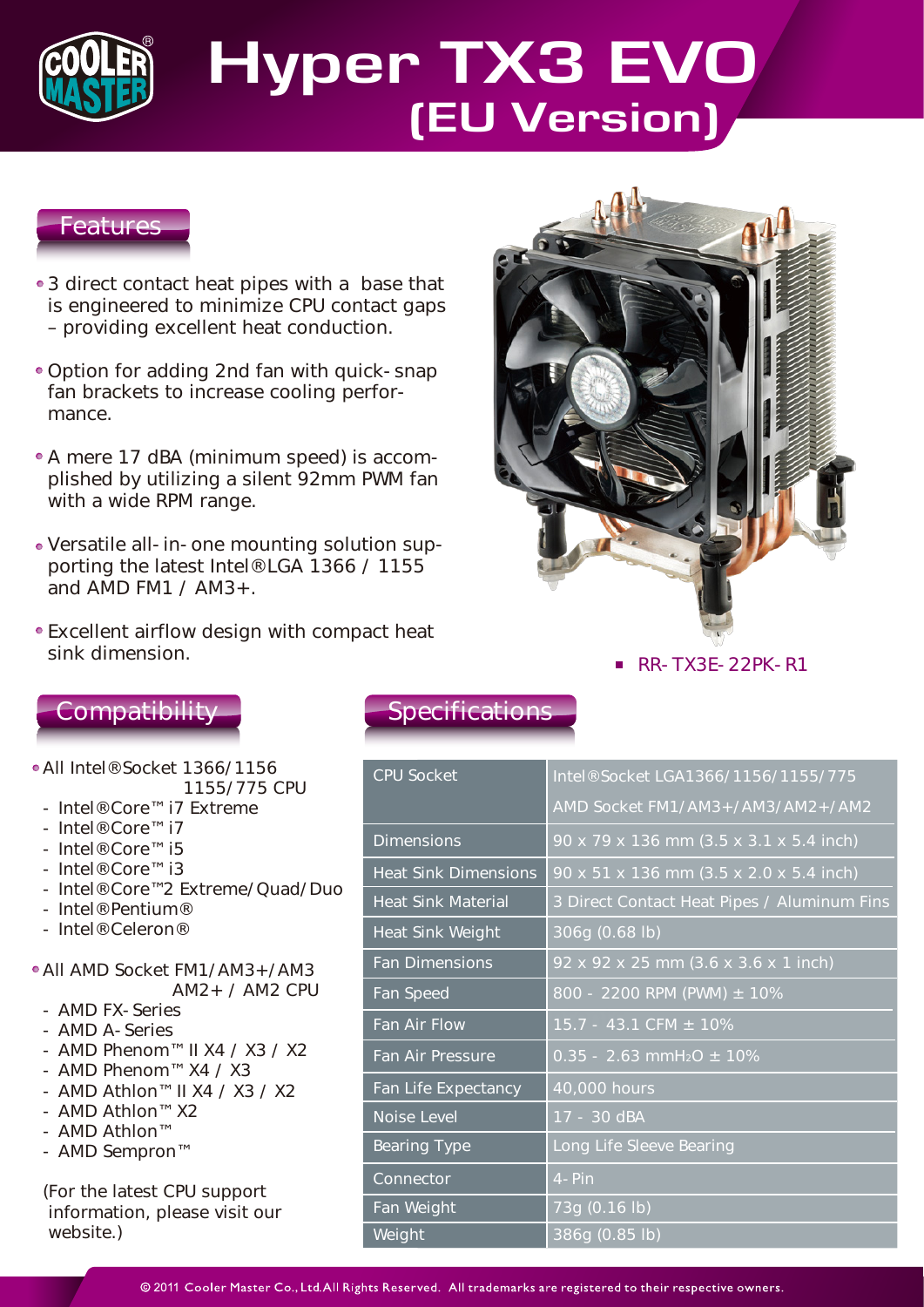

# **Hyper TX3 EVO (EU Version)**

### Features

- 3 direct contact heat pipes with a base that is engineered to minimize CPU contact gaps – providing excellent heat conduction.
- Option for adding 2nd fan with quick-snap fan brackets to increase cooling performance.
- A mere 17 dBA (minimum speed) is accomplished by utilizing a silent 92mm PWM fan with a wide RPM range.
- Versatile all-in-one mounting solution supporting the latest Intel® LGA 1366 / 1155 and AMD FM1 /  $AM3+$ .
- Excellent airflow design with compact heat sink dimension.



 $\blacksquare$  RR-TX3E-22PK-R1

## **Compatibility**

- All Intel® Socket 1366/1156 1155/775 CPU
	- Intel® Core™ i7 Extreme
	- Intel® Core™ i7
	- Intel® Core™ i5
	- Intel® Core™ i3
	- Intel® Core™2 Extreme/Quad/Duo
	- Intel® Pentium®
	- Intel® Celeron®
- All AMD Socket FM1/AM3+/AM3 AM2+ / AM2 CPU
	- AMD FX-Series
	- AMD A-Series
	- AMD Phenom™ II X4 / X3 / X2
	- AMD Phenom™ X4 / X3
	- AMD Athlon™ II X4 / X3 / X2
	- AMD Athlon™ X2
	- AMD Athlon™
	- AMD Sempron™

(For the latest CPU support information, please visit our website.)

## **Specifications**

| <b>CPU Socket</b>           | Intel® Socket LGA1366/1156/1155/775         |
|-----------------------------|---------------------------------------------|
|                             | AMD Socket FM1/AM3+/AM3/AM2+/AM2            |
| <b>Dimensions</b>           | 90 x 79 x 136 mm (3.5 x 3.1 x 5.4 inch)     |
| <b>Heat Sink Dimensions</b> | 90 x 51 x 136 mm (3.5 x 2.0 x 5.4 inch)     |
| <b>Heat Sink Material</b>   | 3 Direct Contact Heat Pipes / Aluminum Fins |
| <b>Heat Sink Weight</b>     | 306g (0.68 lb)                              |
| Fan Dimensions              | 92 x 92 x 25 mm (3.6 x 3.6 x 1 inch)        |
| Fan Speed                   | 800 - 2200 RPM (PWM) $\pm$ 10%              |
| Fan Air Flow                | $15.7 - 43.1$ CFM $\pm 10\%$                |
| Fan Air Pressure            | $0.35 - 2.63$ mmH <sub>2</sub> O $\pm$ 10%  |
| Fan Life Expectancy         | 40,000 hours                                |
| <b>Noise Level</b>          | 17 - 30 dBA                                 |
| <b>Bearing Type</b>         | Long Life Sleeve Bearing                    |
| <b>Connector</b>            | $4-Pin$                                     |
| Fan Weight                  | 73g (0.16 lb)                               |
| Weight                      | 386g (0.85 lb)                              |

@ 2011 Cooler Master Co., Ltd. All Rights Reserved. All trademarks are registered to their respective owners.